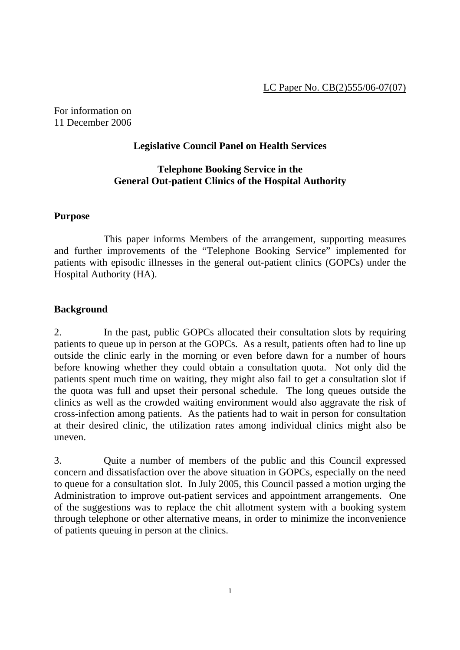For information on 11 December 2006

#### **Legislative Council Panel on Health Services**

## **Telephone Booking Service in the General Out-patient Clinics of the Hospital Authority**

#### **Purpose**

 This paper informs Members of the arrangement, supporting measures and further improvements of the "Telephone Booking Service" implemented for patients with episodic illnesses in the general out-patient clinics (GOPCs) under the Hospital Authority (HA).

#### **Background**

2. In the past, public GOPCs allocated their consultation slots by requiring patients to queue up in person at the GOPCs. As a result, patients often had to line up outside the clinic early in the morning or even before dawn for a number of hours before knowing whether they could obtain a consultation quota. Not only did the patients spent much time on waiting, they might also fail to get a consultation slot if the quota was full and upset their personal schedule. The long queues outside the clinics as well as the crowded waiting environment would also aggravate the risk of cross-infection among patients. As the patients had to wait in person for consultation at their desired clinic, the utilization rates among individual clinics might also be uneven.

3. Quite a number of members of the public and this Council expressed concern and dissatisfaction over the above situation in GOPCs, especially on the need to queue for a consultation slot. In July 2005, this Council passed a motion urging the Administration to improve out-patient services and appointment arrangements. One of the suggestions was to replace the chit allotment system with a booking system through telephone or other alternative means, in order to minimize the inconvenience of patients queuing in person at the clinics.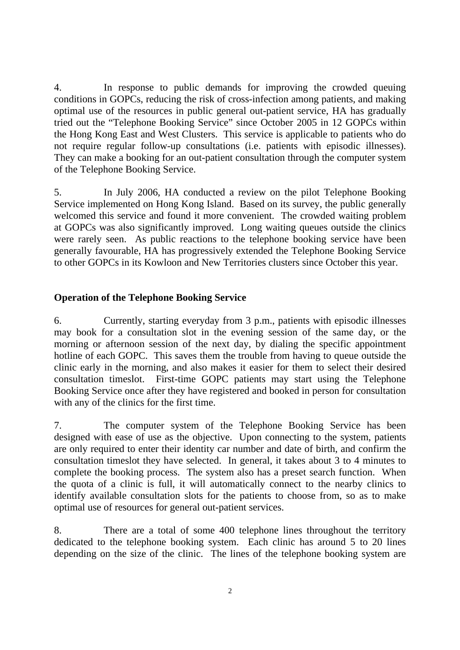4. In response to public demands for improving the crowded queuing conditions in GOPCs, reducing the risk of cross-infection among patients, and making optimal use of the resources in public general out-patient service, HA has gradually tried out the "Telephone Booking Service" since October 2005 in 12 GOPCs within the Hong Kong East and West Clusters. This service is applicable to patients who do not require regular follow-up consultations (i.e. patients with episodic illnesses). They can make a booking for an out-patient consultation through the computer system of the Telephone Booking Service.

5. In July 2006, HA conducted a review on the pilot Telephone Booking Service implemented on Hong Kong Island. Based on its survey, the public generally welcomed this service and found it more convenient. The crowded waiting problem at GOPCs was also significantly improved. Long waiting queues outside the clinics were rarely seen. As public reactions to the telephone booking service have been generally favourable, HA has progressively extended the Telephone Booking Service to other GOPCs in its Kowloon and New Territories clusters since October this year.

## **Operation of the Telephone Booking Service**

6. Currently, starting everyday from 3 p.m., patients with episodic illnesses may book for a consultation slot in the evening session of the same day, or the morning or afternoon session of the next day, by dialing the specific appointment hotline of each GOPC. This saves them the trouble from having to queue outside the clinic early in the morning, and also makes it easier for them to select their desired consultation timeslot. First-time GOPC patients may start using the Telephone Booking Service once after they have registered and booked in person for consultation with any of the clinics for the first time.

7. The computer system of the Telephone Booking Service has been designed with ease of use as the objective. Upon connecting to the system, patients are only required to enter their identity car number and date of birth, and confirm the consultation timeslot they have selected. In general, it takes about 3 to 4 minutes to complete the booking process. The system also has a preset search function. When the quota of a clinic is full, it will automatically connect to the nearby clinics to identify available consultation slots for the patients to choose from, so as to make optimal use of resources for general out-patient services.

8. There are a total of some 400 telephone lines throughout the territory dedicated to the telephone booking system. Each clinic has around 5 to 20 lines depending on the size of the clinic. The lines of the telephone booking system are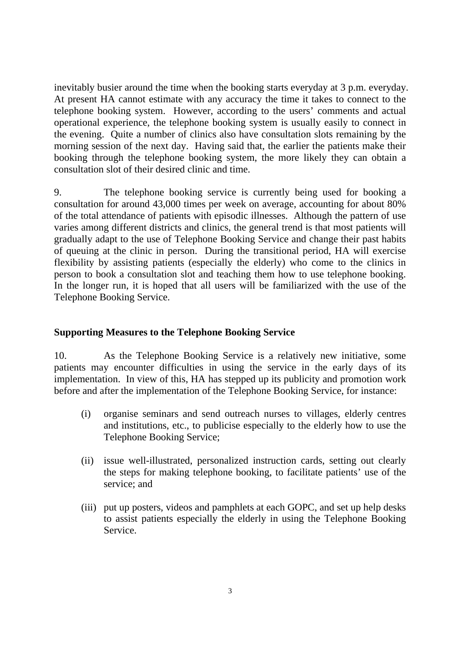inevitably busier around the time when the booking starts everyday at 3 p.m. everyday. At present HA cannot estimate with any accuracy the time it takes to connect to the telephone booking system. However, according to the users' comments and actual operational experience, the telephone booking system is usually easily to connect in the evening. Quite a number of clinics also have consultation slots remaining by the morning session of the next day. Having said that, the earlier the patients make their booking through the telephone booking system, the more likely they can obtain a consultation slot of their desired clinic and time.

9. The telephone booking service is currently being used for booking a consultation for around 43,000 times per week on average, accounting for about 80% of the total attendance of patients with episodic illnesses. Although the pattern of use varies among different districts and clinics, the general trend is that most patients will gradually adapt to the use of Telephone Booking Service and change their past habits of queuing at the clinic in person. During the transitional period, HA will exercise flexibility by assisting patients (especially the elderly) who come to the clinics in person to book a consultation slot and teaching them how to use telephone booking. In the longer run, it is hoped that all users will be familiarized with the use of the Telephone Booking Service.

#### **Supporting Measures to the Telephone Booking Service**

10. As the Telephone Booking Service is a relatively new initiative, some patients may encounter difficulties in using the service in the early days of its implementation. In view of this, HA has stepped up its publicity and promotion work before and after the implementation of the Telephone Booking Service, for instance:

- (i) organise seminars and send outreach nurses to villages, elderly centres and institutions, etc., to publicise especially to the elderly how to use the Telephone Booking Service;
- (ii) issue well-illustrated, personalized instruction cards, setting out clearly the steps for making telephone booking, to facilitate patients' use of the service; and
- (iii) put up posters, videos and pamphlets at each GOPC, and set up help desks to assist patients especially the elderly in using the Telephone Booking Service.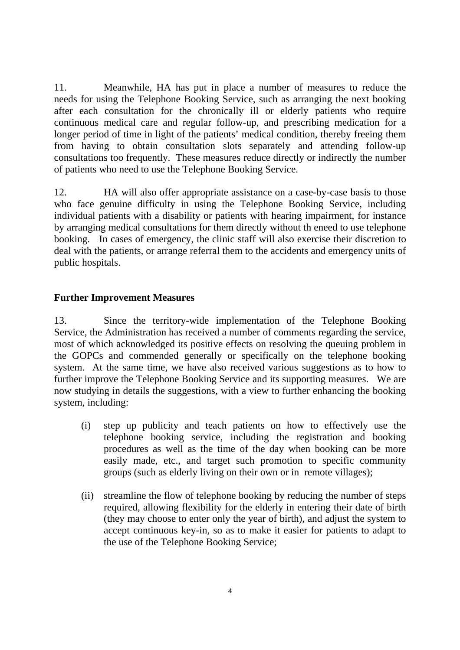11. Meanwhile, HA has put in place a number of measures to reduce the needs for using the Telephone Booking Service, such as arranging the next booking after each consultation for the chronically ill or elderly patients who require continuous medical care and regular follow-up, and prescribing medication for a longer period of time in light of the patients' medical condition, thereby freeing them from having to obtain consultation slots separately and attending follow-up consultations too frequently. These measures reduce directly or indirectly the number of patients who need to use the Telephone Booking Service.

12. HA will also offer appropriate assistance on a case-by-case basis to those who face genuine difficulty in using the Telephone Booking Service, including individual patients with a disability or patients with hearing impairment, for instance by arranging medical consultations for them directly without th eneed to use telephone booking. In cases of emergency, the clinic staff will also exercise their discretion to deal with the patients, or arrange referral them to the accidents and emergency units of public hospitals.

# **Further Improvement Measures**

13. Since the territory-wide implementation of the Telephone Booking Service, the Administration has received a number of comments regarding the service, most of which acknowledged its positive effects on resolving the queuing problem in the GOPCs and commended generally or specifically on the telephone booking system. At the same time, we have also received various suggestions as to how to further improve the Telephone Booking Service and its supporting measures. We are now studying in details the suggestions, with a view to further enhancing the booking system, including:

- (i) step up publicity and teach patients on how to effectively use the telephone booking service, including the registration and booking procedures as well as the time of the day when booking can be more easily made, etc., and target such promotion to specific community groups (such as elderly living on their own or in remote villages);
- (ii) streamline the flow of telephone booking by reducing the number of steps required, allowing flexibility for the elderly in entering their date of birth (they may choose to enter only the year of birth), and adjust the system to accept continuous key-in, so as to make it easier for patients to adapt to the use of the Telephone Booking Service;